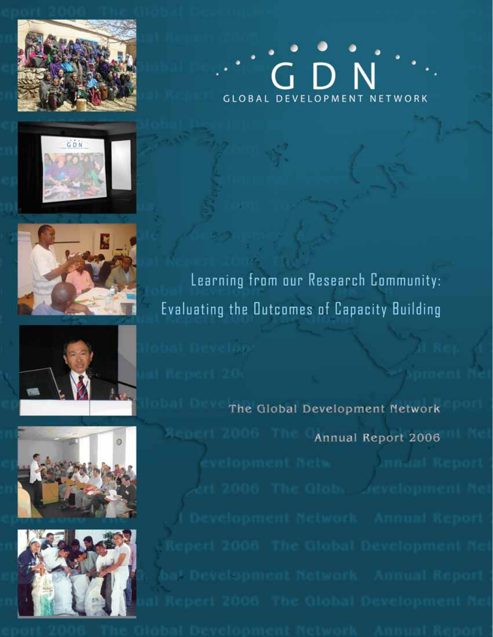











**GLOBAL DEVELOPMENT NETWORK** 

Learning from our Research Community: Evaluating the Outcomes of Capacity Building

The Global Development Network Annual Report 2006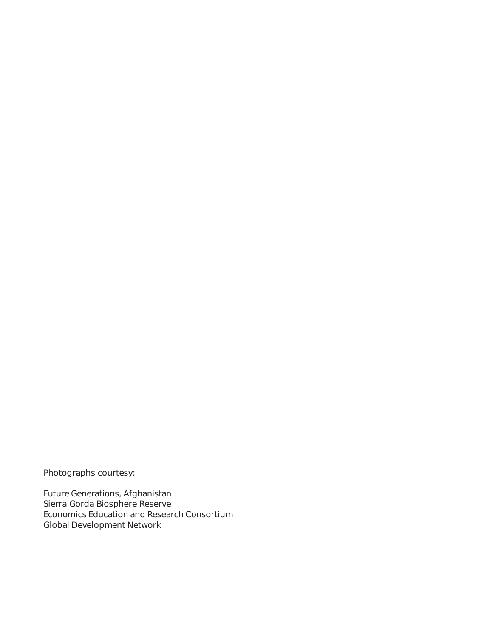Photographs courtesy:

Future Generations, Afghanistan Sierra Gorda Biosphere Reserve Economics Education and Research Consortium Global Development Network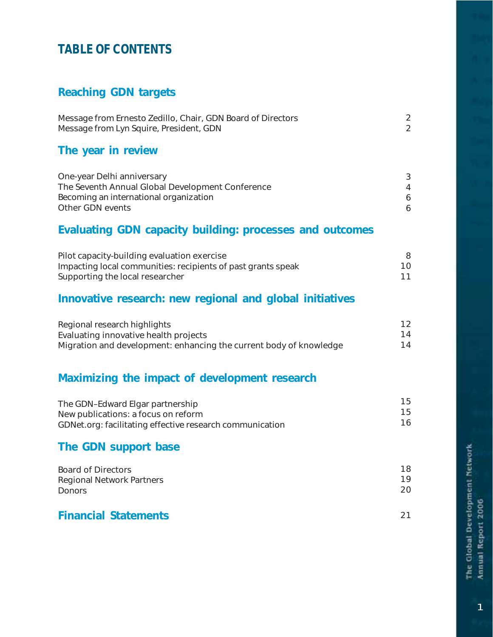# **TABLE OF CONTENTS**

# Reaching GDN targets

| Message from Ernesto Zedillo, Chair, GDN Board of Directors |  |
|-------------------------------------------------------------|--|
| Message from Lyn Squire, President, GDN                     |  |

# The year in review

| One-year Delhi anniversary                       |  |
|--------------------------------------------------|--|
| The Seventh Annual Global Development Conference |  |
| Becoming an international organization           |  |
| Other GDN events                                 |  |

# Evaluating GDN capacity building: processes and outcomes

| Pilot capacity-building evaluation exercise                  |     |
|--------------------------------------------------------------|-----|
| Impacting local communities: recipients of past grants speak | 10. |
| Supporting the local researcher                              |     |

# Innovative research: new regional and global initiatives

| Regional research highlights                                       | 12 |
|--------------------------------------------------------------------|----|
| Evaluating innovative health projects                              | 14 |
| Migration and development: enhancing the current body of knowledge | 14 |

# Maximizing the impact of development research

| The GDN-Edward Elgar partnership                         | 15 |
|----------------------------------------------------------|----|
| New publications: a focus on reform                      | 15 |
| GDNet.org: facilitating effective research communication | 16 |

# The GDN support base

| Board of Directors        | 18  |
|---------------------------|-----|
| Regional Network Partners | 1 Q |
| <b>Donors</b>             | 20  |
|                           |     |

# Financial Statements

21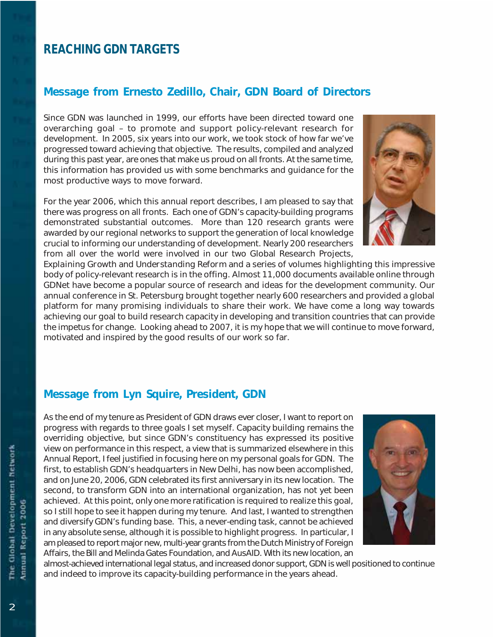# **REACHING GDN TARGETS**

# Message from Ernesto Zedillo, Chair, GDN Board of Directors

Since GDN was launched in 1999, our efforts have been directed toward one overarching goal – to promote and support policy-relevant research for development. In 2005, six years into our work, we took stock of how far we've progressed toward achieving that objective. The results, compiled and analyzed during this past year, are ones that make us proud on all fronts. At the same time, this information has provided us with some benchmarks and guidance for the most productive ways to move forward.

For the year 2006, which this annual report describes, I am pleased to say that there was progress on all fronts. Each one of GDN's capacity-building programs demonstrated substantial outcomes. More than 120 research grants were awarded by our regional networks to support the generation of local knowledge crucial to informing our understanding of development. Nearly 200 researchers from all over the world were involved in our two Global Research Projects,

*Explaining Growth* and *Understanding Reform* and a series of volumes highlighting this impressive body of policy-relevant research is in the offing. Almost 11,000 documents available online through GDNet have become a popular source of research and ideas for the development community. Our annual conference in St. Petersburg brought together nearly 600 researchers and provided a global platform for many promising individuals to share their work. We have come a long way towards achieving our goal to build research capacity in developing and transition countries that can provide the impetus for change. Looking ahead to 2007, it is my hope that we will continue to move forward, motivated and inspired by the good results of our work so far.

# Message from Lyn Squire, President, GDN

As the end of my tenure as President of GDN draws ever closer, I want to report on progress with regards to three goals I set myself. Capacity building remains the overriding objective, but since GDN's constituency has expressed its positive view on performance in this respect, a view that is summarized elsewhere in this Annual Report, I feel justified in focusing here on my personal goals for GDN. The first, to establish GDN's headquarters in New Delhi, has now been accomplished, and on June 20, 2006, GDN celebrated its first anniversary in its new location. The second, to transform GDN into an international organization, has not yet been achieved. At this point, only one more ratification is required to realize this goal, so I still hope to see it happen during my tenure. And last, I wanted to strengthen and diversify GDN's funding base. This, a never-ending task, cannot be achieved in any absolute sense, although it is possible to highlight progress. In particular, I am pleased to report major new, multi-year grants from the Dutch Ministry of Foreign Affairs, the Bill and Melinda Gates Foundation, and AusAID. With its new location, an



almost-achieved international legal status, and increased donor support, GDN is well positioned to continue and indeed to improve its capacity-building performance in the years ahead.

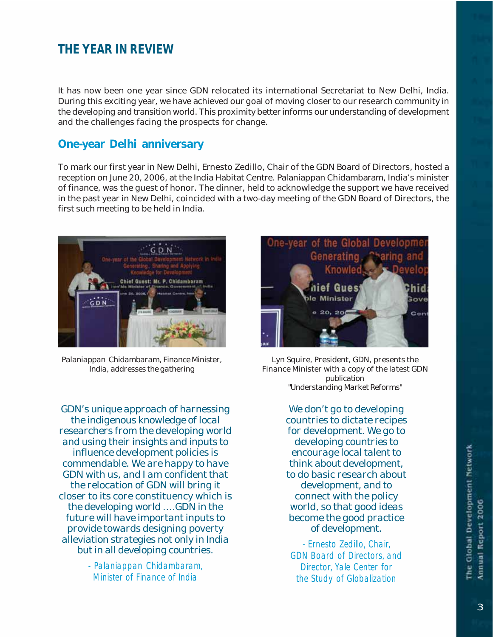# **THE YEAR IN REVIEW**

It has now been one year since GDN relocated its international Secretariat to New Delhi, India. During this exciting year, we have achieved our goal of moving closer to our research community in the developing and transition world. This proximity better informs our understanding of development and the challenges facing the prospects for change.

#### One-year Delhi anniversary

To mark our first year in New Delhi, Ernesto Zedillo, Chair of the GDN Board of Directors, hosted a reception on June 20, 2006, at the India Habitat Centre. Palaniappan Chidambaram, India's minister of finance, was the guest of honor. The dinner, held to acknowledge the support we have received in the past year in New Delhi, coincided with a two-day meeting of the GDN Board of Directors, the first such meeting to be held in India.



*Palaniappan Chidambaram, Finance Minister, India, addresses the gathering*

*GDN's unique approach of harnessing the indigenous knowledge of local researchers from the developing world and using their insights and inputs to influence development policies is commendable. We are happy to have GDN with us, and I am confident that the relocation of GDN will bring it closer to its core constituency which is the developing world ….GDN in the future will have important inputs to provide towards designing poverty alleviation strategies not only in India but in all developing countries.*

> - Palaniappan Chidambaram, Minister of Finance of India



*Lyn Squire, President, GDN, presents the Finance Minister with a copy of the latest GDN publication "Understanding Market Reforms"*

*We don't go to developing countries to dictate recipes for development. We go to developing countries to encourage local talent to think about development, to do basic research about development, and to connect with the policy world, so that good ideas become the good practice of development.*

- Ernesto Zedillo, Chair, GDN Board of Directors, and Director, Yale Center for the Study of Globalization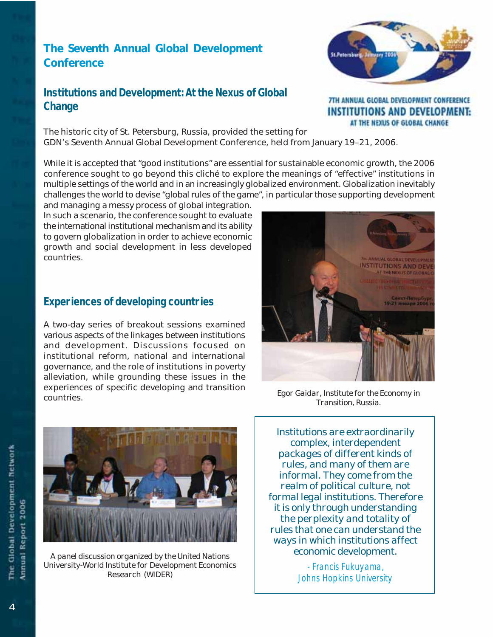# The Seventh Annual Global Development **Conference**

# **Institutions and Development: At the Nexus of Global Change**



7TH ANNUAL GLOBAL DEVELOPMENT CONFERENCE **INSTITUTIONS AND DEVELOPMENT:** AT THE NEXUS OF GLOBAL CHANGE

The historic city of St. Petersburg, Russia, provided the setting for GDN's Seventh Annual Global Development Conference, held from January 19–21, 2006.

While it is accepted that "good institutions" are essential for sustainable economic growth, the 2006 conference sought to go beyond this cliché to explore the meanings of "effective" institutions in multiple settings of the world and in an increasingly globalized environment. Globalization inevitably challenges the world to devise "global rules of the game", in particular those supporting development

and managing a messy process of global integration. In such a scenario, the conference sought to evaluate the international institutional mechanism and its ability to govern globalization in order to achieve economic growth and social development in less developed countries.

# **Experiences of developing countries**

A two-day series of breakout sessions examined various aspects of the linkages between institutions and development. Discussions focused on institutional reform, national and international governance, and the role of institutions in poverty alleviation, while grounding these issues in the experiences of specific developing and transition countries.



*Egor Gaidar, Institute for the Economy in Transition, Russia.*



*A panel discussion organized by the United Nations University-World Institute for Development Economics Research (WIDER)*

*Institutions are extraordinarily complex, interdependent packages of different kinds of rules, and many of them are informal. They come from the realm of political culture, not formal legal institutions. Therefore it is only through understanding the perplexity and totality of rules that one can understand the ways in which institutions affect economic development.*

> - Francis Fukuyama, Johns Hopkins University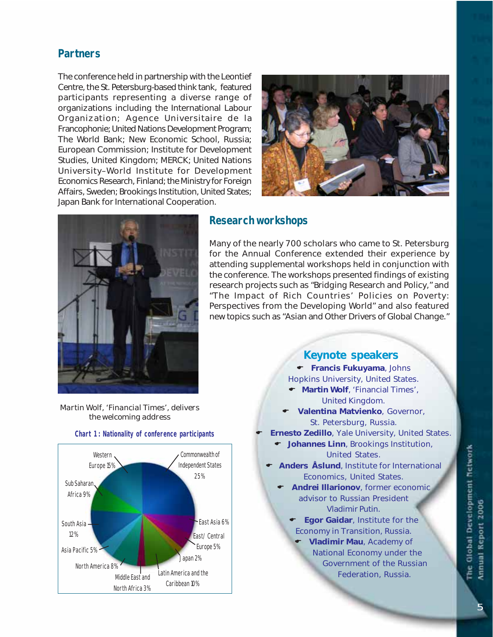# **Partners**

The conference held in partnership with the Leontief Centre, the St. Petersburg-based think tank, featured participants representing a diverse range of organizations including the International Labour Organization; Agence Universitaire de la Francophonie; United Nations Development Program; The World Bank; New Economic School, Russia; European Commission; Institute for Development Studies, United Kingdom; MERCK; United Nations University–World Institute for Development Economics Research, Finland; the Ministry for Foreign Affairs, Sweden; Brookings Institution, United States; Japan Bank for International Cooperation.





#### **Research workshops**

Many of the nearly 700 scholars who came to St. Petersburg for the Annual Conference extended their experience by attending supplemental workshops held in conjunction with the conference. The workshops presented findings of existing research projects such as "Bridging Research and Policy," and "The Impact of Rich Countries' Policies on Poverty: Perspectives from the Developing World" and also featured new topics such as "Asian and Other Drivers of Global Change."





#### **Chart 1 : Nationality of conference participants**

# Keynote speakers

 $\bullet$  Francis Fukuyama, Johns Hopkins University, United States. ← Martin Wolf, 'Financial Times', United Kingdom. Valentina Matvienko, Governor, St. Petersburg, Russia. Ernesto Zedillo, Yale University, United States.  $\bullet$  Johannes Linn, Brookings Institution, United States. Anders Åslund, Institute for International Economics, United States. Andrei Illarionov, former economic advisor to Russian President Vladimir Putin. Egor Gaidar, Institute for the Economy in Transition, Russia. Vladimir Mau, Academy of National Economy under the Government of the Russian Federation, Russia.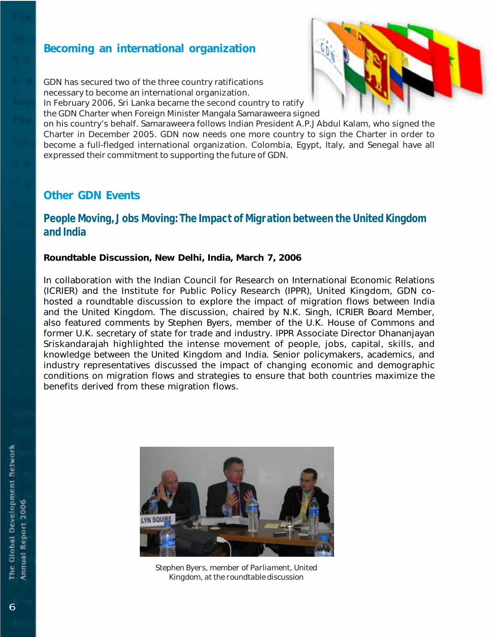# Becoming an international organization

GDN has secured two of the three country ratifications necessary to become an international organization.

In February 2006, Sri Lanka became the second country to ratify

the GDN Charter when Foreign Minister Mangala Samaraweera signed

on his country's behalf. Samaraweera follows Indian President A.P.J Abdul Kalam, who signed the Charter in December 2005. GDN now needs one more country to sign the Charter in order to become a full-fledged international organization. Colombia, Egypt, Italy, and Senegal have all expressed their commitment to supporting the future of GDN.

# Other GDN Events

# **People Moving, Jobs Moving: The Impact of Migration between the United Kingdom and India**

#### Roundtable Discussion, New Delhi, India, March 7, 2006

In collaboration with the Indian Council for Research on International Economic Relations (ICRIER) and the Institute for Public Policy Research (IPPR), United Kingdom, GDN cohosted a roundtable discussion to explore the impact of migration flows between India and the United Kingdom. The discussion, chaired by N.K. Singh, ICRIER Board Member, also featured comments by Stephen Byers, member of the U.K. House of Commons and former U.K. secretary of state for trade and industry. IPPR Associate Director Dhananjayan Sriskandarajah highlighted the intense movement of people, jobs, capital, skills, and knowledge between the United Kingdom and India. Senior policymakers, academics, and industry representatives discussed the impact of changing economic and demographic conditions on migration flows and strategies to ensure that both countries maximize the benefits derived from these migration flows.



*Stephen Byers, member of Parliament, United Kingdom, at the roundtable discussion*

*6*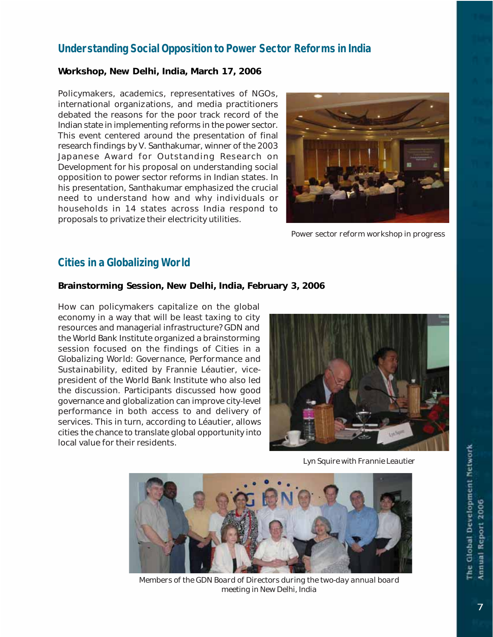# **Understanding Social Opposition to Power Sector Reforms in India**

#### Workshop, New Delhi, India, March 17, 2006

Policymakers, academics, representatives of NGOs, international organizations, and media practitioners debated the reasons for the poor track record of the Indian state in implementing reforms in the power sector. This event centered around the presentation of final research findings by V. Santhakumar, winner of the 2003 Japanese Award for Outstanding Research on Development for his proposal on understanding social opposition to power sector reforms in Indian states. In his presentation, Santhakumar emphasized the crucial need to understand how and why individuals or households in 14 states across India respond to proposals to privatize their electricity utilities.



*Power sector reform workshop in progress*

# **Cities in a Globalizing World**

#### Brainstorming Session, New Delhi, India, February 3, 2006

How can policymakers capitalize on the global economy in a way that will be least taxing to city resources and managerial infrastructure? GDN and the World Bank Institute organized a brainstorming session focused on the findings of *Citie*s *in a Globalizing World: Governance, Performance and Sustainability*, edited by Frannie Léautier, vicepresident of the World Bank Institute who also led the discussion. Participants discussed how good governance and globalization can improve city-level performance in both access to and delivery of services. This in turn, according to Léautier, allows cities the chance to translate global opportunity into local value for their residents.



*Lyn Squire with Frannie Leautier*



*Members of the GDN Board of Directors during the two-day annual board meeting in New Delhi, India*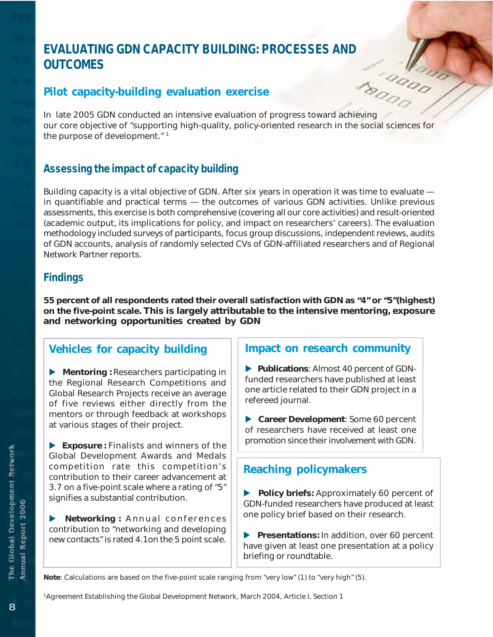# **EVALUATING GDN CAPACITY BUILDING: PROCESSES AND<br>
OUTCOMES**<br>
Pilot capacity-building evaluation exercise<br>
Pilot Capacity-building evaluation exercise<br>
Pilot Capacity-building evaluation exercise **OUTCOMES**

# Pilot capacity-building evaluation exercise

In late 2005 GDN conducted an intensive evaluation of progress toward achieving our core objective of "supporting high-quality, policy-oriented research in the social sciences for the purpose of development."<sup>1</sup>

# **Assessing the impact of capacity building**

Building capacity is a vital objective of GDN. After six years in operation it was time to evaluate in quantifiable and practical terms — the outcomes of various GDN activities. Unlike previous assessments, this exercise is both comprehensive (covering all our core activities) and result-oriented (academic output, its implications for policy, and impact on researchers' careers). The evaluation methodology included surveys of participants, focus group discussions, independent reviews, audits of GDN accounts, analysis of randomly selected CVs of GDN-affiliated researchers and of Regional Network Partner reports.

# **Findings**

55 percent of all respondents rated their overall satisfaction with GDN as "4" or "5"(highest) on the five-point scale. This is largely attributable to the intensive mentoring, exposure and networking opportunities created by GDN

# Vehicles for capacity building

**D** Mentoring: Researchers participating in the Regional Research Competitions and Global Research Projects receive an average of five reviews either directly from the mentors or through feedback at workshops at various stages of their project.

 $\blacktriangleright$  Exposure : Finalists and winners of the Global Development Awards and Medals competition rate this competition's contribution to their career advancement at 3.7 on a five-point scale where a rating of "5" signifies a substantial contribution.

**D** Networking: Annual conferences contribution to "networking and developing new contacts" is rated 4.1on the 5 point scale.

#### Impact on research community

**D** Publications: Almost 40 percent of GDNfunded researchers have published at least one article related to their GDN project in a refereed journal.

▶ Career Development: Some 60 percent of researchers have received at least one promotion since their involvement with GDN.

# Reaching policymakers

Policy briefs: Approximately 60 percent of GDN-funded researchers have produced at least one policy brief based on their research.

Presentations: In addition, over 60 percent have given at least one presentation at a policy briefing or roundtable.

Note: Calculations are based on the five-point scale ranging from "very low" (1) to "very high" (5).

1Agreement Establishing the Global Development Network, March 2004, Article I, Section 1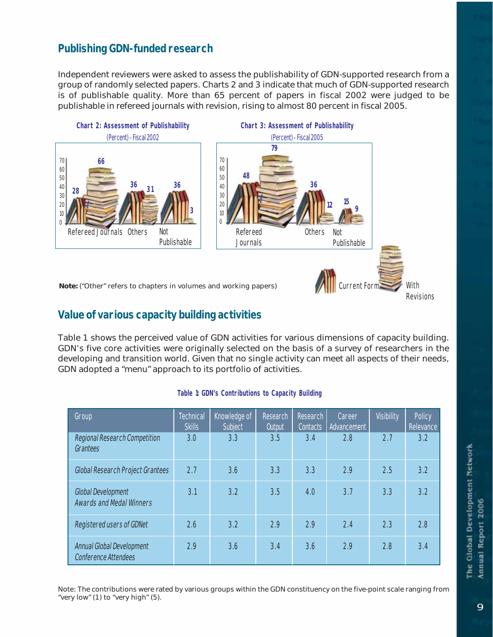# **Publishing GDN-funded research**

Independent reviewers were asked to assess the publishability of GDN-supported research from a group of randomly selected papers. Charts 2 and 3 indicate that much of GDN-supported research is of publishable quality. More than 65 percent of papers in fiscal 2002 were judged to be publishable in refereed journals with revision, rising to almost 80 percent in fiscal 2005.



# **Value of various capacity building activities**

Table 1 shows the perceived value of GDN activities for various dimensions of capacity building. GDN's five core activities were originally selected on the basis of a survey of researchers in the developing and transition world. Given that no single activity can meet all aspects of their needs, GDN adopted a "menu" approach to its portfolio of activities.

| Group                                                 | <b>Technical</b><br><b>Skills</b> | Knowledge of<br>Subject | Research<br>Output | Research<br>Contacts | Career<br>Advancement | <b>Visibility</b> | Policy<br>Relevance |
|-------------------------------------------------------|-----------------------------------|-------------------------|--------------------|----------------------|-----------------------|-------------------|---------------------|
| Regional Research Competition<br>Grantees             | 3.0                               | 3.3                     | 3.5                | 3.4                  | 2.8                   | 2.7               | 3.2                 |
| Global Research Project Grantees                      | 2.7                               | 3.6                     | 3.3                | 3.3                  | 2.9                   | 2.5               | 3.2                 |
| Global Development<br><b>Awards and Medal Winners</b> | 3.1                               | 3.2                     | 3.5                | 4.0                  | 3.7                   | 3.3               | 3.2                 |
| Registered users of GDNet                             | 2.6                               | 3.2                     | 2.9                | 2.9                  | 2.4                   | 2.3               | 2.8                 |
| Annual Global Development<br>Conference Attendees     | 2.9                               | 3.6                     | 3.4                | 3.6                  | 2.9                   | 2.8               | 3.4                 |

#### **Table 1: GDN's Contributions to Capacity Building**

Note: The contributions were rated by various groups within the GDN constituency on the five-point scale ranging from "very low" (1) to "very high" (5).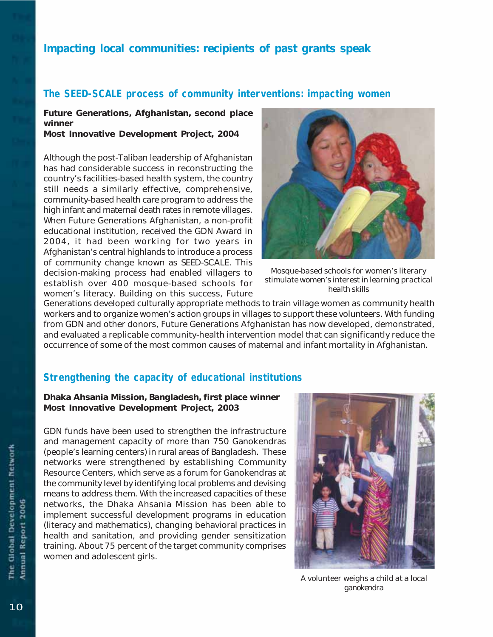# Impacting local communities: recipients of past grants speak

# **The SEED-SCALE process of community interventions: impacting women**

Future Generations, Afghanistan, second place winner

Most Innovative Development Project, 2004

Although the post-Taliban leadership of Afghanistan has had considerable success in reconstructing the country's facilities-based health system, the country still needs a similarly effective, comprehensive, community-based health care program to address the high infant and maternal death rates in remote villages. When Future Generations Afghanistan, a non-profit educational institution, received the GDN Award in 2004, it had been working for two years in Afghanistan's central highlands to introduce a process of community change known as SEED-SCALE. This decision-making process had enabled villagers to establish over 400 mosque-based schools for women's literacy. Building on this success, Future



*Mosque-based schools for women's literary stimulate women's interest in learning practical health skills*

Generations developed culturally appropriate methods to train village women as community health workers and to organize women's action groups in villages to support these volunteers. With funding from GDN and other donors, Future Generations Afghanistan has now developed, demonstrated, and evaluated a replicable community-health intervention model that can significantly reduce the occurrence of some of the most common causes of maternal and infant mortality in Afghanistan.

# **Strengthening the capacity of educational institutions**

Dhaka Ahsania Mission, Bangladesh, first place winner Most Innovative Development Project, 2003

GDN funds have been used to strengthen the infrastructure and management capacity of more than 750 Ganokendras (people's learning centers) in rural areas of Bangladesh. These networks were strengthened by establishing Community Resource Centers, which serve as a forum for Ganokendras at the community level by identifying local problems and devising means to address them. With the increased capacities of these networks, the Dhaka Ahsania Mission has been able to implement successful development programs in education (literacy and mathematics), changing behavioral practices in health and sanitation, and providing gender sensitization training. About 75 percent of the target community comprises women and adolescent girls.



*A volunteer weighs a child at a local ganokendra*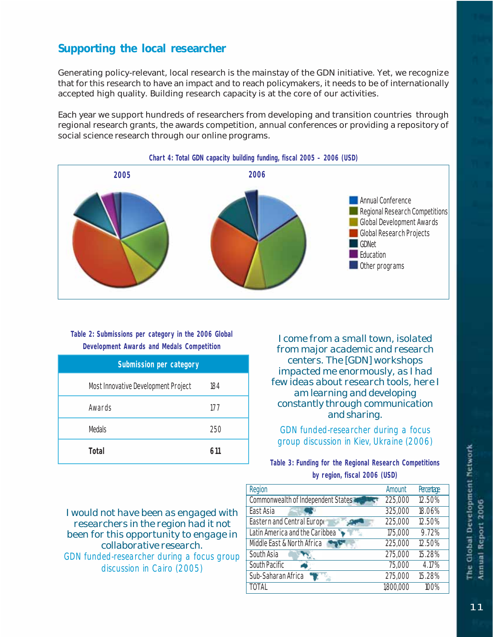# Supporting the local researcher

Generating policy-relevant, local research is the mainstay of the GDN initiative. Yet, we recognize that for this research to have an impact and to reach policymakers, it needs to be of internationally accepted high quality. Building research capacity is at the core of our activities.

Each year we support hundreds of researchers from developing and transition countries through regional research grants, the awards competition, annual conferences or providing a repository of social science research through our online programs.



#### **Table 2: Submissions per category in the 2006 Global Development Awards and Medals Competition**

| Submission per category             |     |  |  |
|-------------------------------------|-----|--|--|
| Most Innovative Development Project | 184 |  |  |
| Awards                              | 177 |  |  |
| <b>Medals</b>                       | 250 |  |  |
| Total                               | 611 |  |  |

*I come from a small town, isolated from major academic and research centers. The [GDN] workshops impacted me enormously, as I had few ideas about research tools, here I am learning and developing constantly through communication and sharing.*

GDN funded-researcher during a focus group discussion in Kiev, Ukraine (2006)

**Table 3: Funding for the Regional Research Competitions by region, fiscal 2006 (USD)**

*I would not have been as engaged with researchers in the region had it not been for this opportunity to engage in collaborative research.* GDN funded-researcher during a focus group discussion in Cairo (2005)

| Region                             | Amount    | <b>Percentage</b> |
|------------------------------------|-----------|-------------------|
| Commonwealth of Independent States | 225,000   | 12.50%            |
| East Asia                          | 325,000   | 18.06%            |
| Eastern and Central Europe         | 225,000   | 12.50%            |
| Latin America and the Caribbea     | 175,000   | 9.72%             |
| Middle East & North Africa         | 225,000   | 12.50%            |
| South Asia                         | 275,000   | 15.28%            |
| South Pacific                      | 75,000    | 4.17%             |
| Sub-Saharan Africa                 | 275,000   | 15.28%            |
| <b>TOTAL</b>                       | 1,800,000 | 100%              |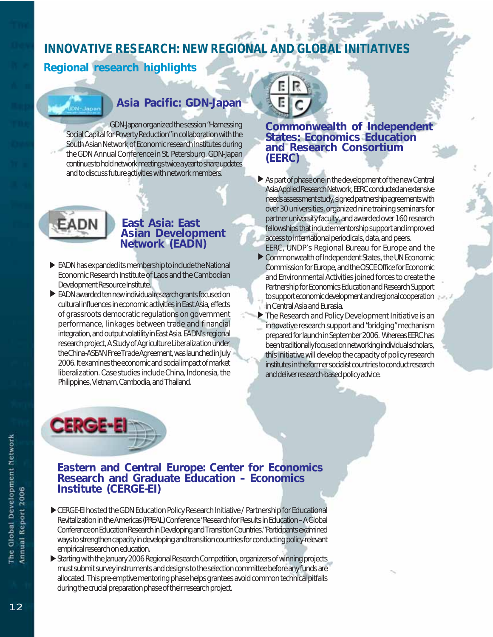# **INNOVATIVE RESEARCH: NEW REGIONAL AND GLOBAL INITIATIVES**

# Regional research highlights

# Asia Pacific: GDN-Japan

GDN-Japan organized the session "Harnessing Social Capital for Poverty Reduction" in collaboration with the South Asian Network of Economic research Institutes during the GDN Annual Conference in St. Petersburg. GDN-Japan continues to hold network meetings twice a year to share updates and to discuss future activities with network members.



#### East Asia: East Asian Development Network (EADN)

- EADN has expanded its membership to include the National D Economic Research Institute of Laos and the Cambodian Development Resource Institute.
- **EADN** awarded ten new individual research grants focused on cultural influences in economic activities in East Asia, effects of grassroots democratic regulations on government performance, linkages between trade and financial integration, and output volatility in East Asia. EADN's regional research project, *A Study of Agriculture Liberalization under the China-ASEAN Free Trade Agreement*, was launched in July 2006. It examines the economic and social impact of market liberalization. Case studies include China, Indonesia, the Philippines, Vietnam, Cambodia, and Thailand.



#### Commonwealth of Independent States: Economics Education and Research Consortium (EERC)

- As part of phase one in the development of the new Central D Asia Applied Research Network, EERC conducted an extensive needs assessment study, signed partnership agreements with over 30 universities, organized nine training seminars for partner university faculty, and awarded over 160 research fellowships that include mentorship support and improved access to international periodicals, data, and peers.
- EERC, UNDP's Regional Bureau for Europe and the Commonwealth of Independent States, the UN Economic D Commission for Europe, and the OSCE Office for Economic and Environmental Activities joined forces to create the Partnership for Economics Education and Research Support to support economic development and regional cooperation in Central Asia and Eurasia.
- ▶ The Research and Policy Development Initiative is an innovative research support and "bridging" mechanism prepared for launch in September 2006. Whereas EERC has been traditionally focused on networking individual scholars, this initiative will develop the capacity of policy research institutes in the former socialist countries to conduct research and deliver research-based policy advice.



#### Eastern and Central Europe: Center for Economics Research and Graduate Education – Economics Institute (CERGE-EI)

- CERGE-EI hosted the GDN Education Policy Research Initiative / Partnership for Educational D Revitalization in the Americas (PREAL) Conference "Research for Results in Education – A Global Conference on Education Research in Developing and Transition Countries." Participants examined ways to strengthen capacity in developing and transition countries for conducting policy-relevant empirical research on education.
- Starting with the January 2006 Regional Research Competition, organizers of winning projects D must submit survey instruments and designs to the selection committee before any funds are allocated. This pre-emptive mentoring phase helps grantees avoid common technical pitfalls during the crucial preparation phase of their research project.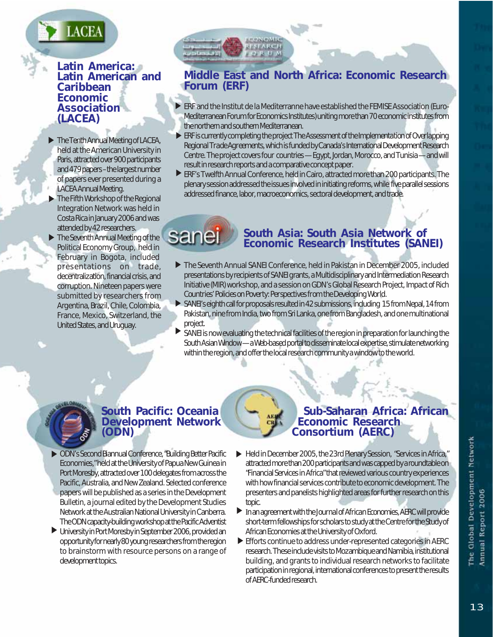# ACE/

#### Latin America: Latin American and Caribbean Economic **Association** (LACEA)

- **The Tenth Annual Meeting of LACEA,** held at the American University in Paris, attracted over 900 participants and 479 papers – the largest number of papers ever presented during a LACEA Annual Meeting.
- ▶ The Fifth Workshop of the Regional Integration Network was held in Costa Rica in January 2006 and was attended by 42 researchers.
- The Seventh Annual Meeting of the Political Economy Group, held in February in Bogota, included presentations on trade, decentralization, financial crisis, and corruption. Nineteen papers were submitted by researchers from Argentina, Brazil, Chile, Colombia, France, Mexico, Switzerland, the United States, and Uruguay.  $\blacktriangleright$

# Middle East and North Africa: Economic Research Forum (ERF)

- **ERF** and the Institut de la Mediterranne have established the FEMISE Association (Euro-Mediterranean Forum for Economics Institutes) uniting more than 70 economic institutes from the northern and southern Mediterranean.
- ERF is currently completing the project *The Assessment of the Implementation of Overlapping* D *Regional Trade Agreements*, which is funded by Canada's International Development Research Centre. The project covers four countries — Egypt, Jordan, Morocco, and Tunisia — and will result in research reports and a comparative concept paper.
- ERF's Twelfth Annual Conference, held in Cairo, attracted more than 200 participants. The D plenary session addressed the issues involved in initiating reforms, while five parallel sessions addressed finance, labor, macroeconomics, sectoral development, and trade.

saneı

# South Asia: South Asia Network of Economic Research Institutes (SANEI)

- The Seventh Annual SANEI Conference, held in Pakistan in December 2005, included D presentations by recipients of SANEI grants, a Multidisciplinary and Intermediation Research Initiative (MIR) workshop, and a session on GDN's Global Research Project, *Impact of Rich Countries' Policies on Poverty: Perspectives from the Developing World*.
- SANEI's eighth call for proposals resulted in 42 submissions, including 15 from Nepal, 14 from D Pakistan, nine from India, two from Sri Lanka, one from Bangladesh, and one multinational project.
- **SANEI** is now evaluating the technical facilities of the region in preparation for launching the South Asian Window — a Web-based portal to disseminate local expertise, stimulate networking within the region, and offer the local research community a window to the world.

# South Pacific: Oceania Development Network (ODN)

- ODN's Second Biannual Conference, "Building Better Pacific D Economies," held at the University of Papua New Guinea in Port Moresby, attracted over 100 delegates from across the Pacific, Australia, and New Zealand. Selected conference papers will be published as a series in the *Development Bulletin*, a journal edited by the Development Studies Network at the Australian National University in Canberra. The ODN capacity-building workshop at the Pacific Adventist
- University in Port Moresby in September 2006, provided an D opportunity for nearly 80 young researchers from the region to brainstorm with resource persons on a range of development topics.

#### Sub-Saharan Africa: African Economic Research Consortium (AERC)

- Held in December 2005, the 23rd Plenary Session, "Services in Africa*,*" D attracted more than 200 participants and was capped by a roundtable on "Financial Services in Africa"that reviewed various country experiences with how financial services contribute to economic development. The presenters and panelists highlighted areas for further research on this topic.
- **In an agreement with the** *Journal of African Economies***, AERC will provide** short-term fellowships for scholars to study at the Centre for the Study of African Economies at the University of Oxford.
- **E** Efforts continue to address under-represented categories in AERC research. These include visits to Mozambique and Namibia, institutional building, and grants to individual research networks to facilitate participation in regional, international conferences to present the results of AERC-funded research.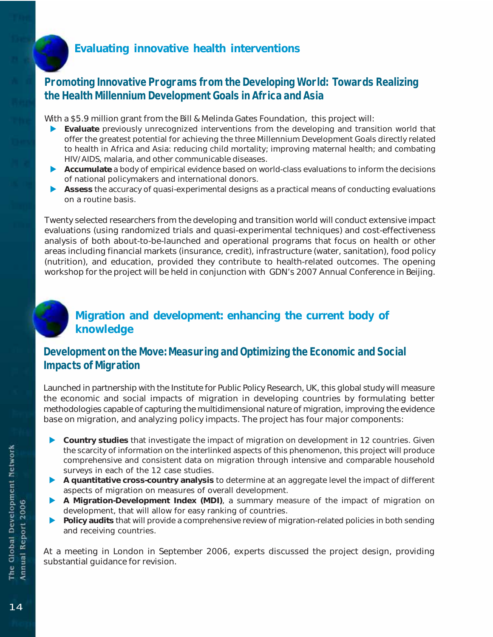# Evaluating innovative health interventions

# **Promoting Innovative Programs from the Developing World: Towards Realizing the Health Millennium Development Goals in Africa and Asia**

With a \$5.9 million grant from the Bill & Melinda Gates Foundation, this project will:

- Evaluate previously unrecognized interventions from the developing and transition world that offer the greatest potential for achieving the three Millennium Development Goals directly related to health in Africa and Asia: reducing child mortality; improving maternal health; and combating HIV/AIDS, malaria, and other communicable diseases.
- $\triangleright$  Accumulate a body of empirical evidence based on world-class evaluations to inform the decisions of national policymakers and international donors.
- Assess the accuracy of quasi-experimental designs as a practical means of conducting evaluations on a routine basis.

Twenty selected researchers from the developing and transition world will conduct extensive impact evaluations (using randomized trials and quasi-experimental techniques) and cost-effectiveness analysis of both about-to-be-launched and operational programs that focus on health or other areas including financial markets (insurance, credit), infrastructure (water, sanitation), food policy (nutrition), and education, provided they contribute to health-related outcomes. The opening workshop for the project will be held in conjunction with GDN's 2007 Annual Conference in Beijing.

# Migration and development: enhancing the current body of knowledge

# **Development on the Move: Measuring and Optimizing the Economic and Social Impacts of Migration**

Launched in partnership with the Institute for Public Policy Research, UK, this global study will measure the economic and social impacts of migration in developing countries by formulating better methodologies capable of capturing the multidimensional nature of migration, improving the evidence base on migration, and analyzing policy impacts. The project has four major components:

- $\triangleright$  Country studies that investigate the impact of migration on development in 12 countries. Given the scarcity of information on the interlinked aspects of this phenomenon, this project will produce comprehensive and consistent data on migration through intensive and comparable household surveys in each of the 12 case studies.
- D A quantitative cross-country analysis to determine at an aggregate level the impact of different aspects of migration on measures of overall development.
- A Migration-Development Index (MDI), a summary measure of the impact of migration on development, that will allow for easy ranking of countries.
- Deposits that will provide a comprehensive review of migration-related policies in both sending and receiving countries.

At a meeting in London in September 2006, experts discussed the project design, providing substantial guidance for revision.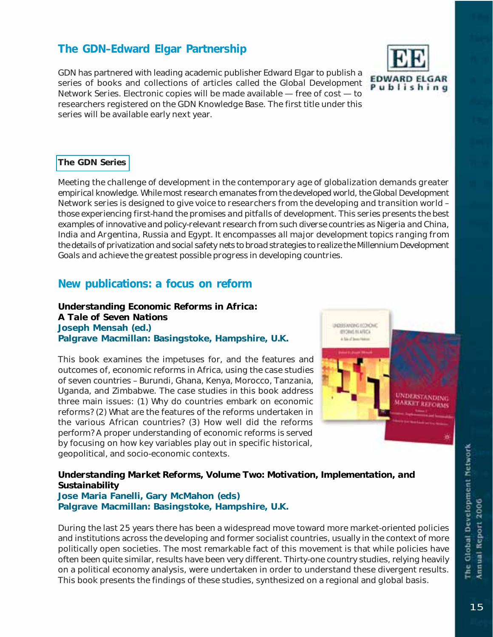# The GDN–Edward Elgar Partnership

GDN has partnered with leading academic publisher Edward Elgar to publish a series of books and collections of articles called the *Global Development Network Series.* Electronic copies will be made available — free of cost — to researchers registered on the GDN Knowledge Base. The first title under this series will be available early next year.



#### The GDN Series

*Meeting the challenge of development in the contemporary age of globalization demands greater empirical knowledge. While most research emanates from the developed world, the Global Development Network series is designed to give voice to researchers from the developing and transition world – those experiencing first-hand the promises and pitfalls of development. This series presents the best examples of innovative and policy-relevant research from such diverse countries as Nigeria and China, India and Argentina, Russia and Egypt. It encompasses all major development topics ranging from the details of privatization and social safety nets to broad strategies to realize the Millennium Development Goals and achieve the greatest possible progress in developing countries.*

#### New publications: a focus on reform

#### *Understanding Economic Reforms in Africa: A Tale of Seven Nations* Joseph Mensah (ed.) Palgrave Macmillan: Basingstoke, Hampshire, U.K.

This book examines the impetuses for, and the features and outcomes of, economic reforms in Africa, using the case studies of seven countries – Burundi, Ghana, Kenya, Morocco, Tanzania, Uganda, and Zimbabwe. The case studies in this book address three main issues: (1) Why do countries embark on economic reforms? (2) What are the features of the reforms undertaken in the various African countries? (3) How well did the reforms perform? A proper understanding of economic reforms is served by focusing on how key variables play out in specific historical, geopolitical, and socio-economic contexts.



#### *Understanding Market Reforms, Volume Two: Motivation, Implementation, and Sustainability*

#### Jose Maria Fanelli, Gary McMahon (eds) Palgrave Macmillan: Basingstoke, Hampshire, U.K.

During the last 25 years there has been a widespread move toward more market-oriented policies and institutions across the developing and former socialist countries, usually in the context of more politically open societies. The most remarkable fact of this movement is that while policies have often been quite similar, results have been very different. Thirty-one country studies, relying heavily on a political economy analysis, were undertaken in order to understand these divergent results. This book presents the findings of these studies, synthesized on a regional and global basis.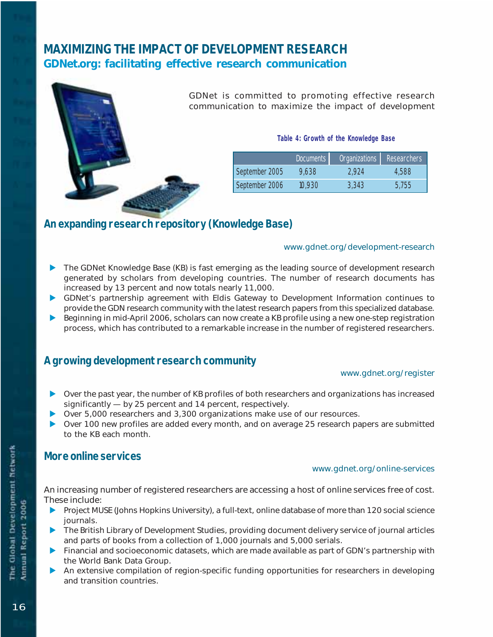# **MAXIMIZING THE IMPACT OF DEVELOPMENT RESEARCH** GDNet.org: facilitating effective research communication

| GDNet is d<br>communica |
|-------------------------|
|                         |

committed to promoting effective research tion to maximize the impact of development

**Table 4: Growth of the Knowledge Base**

|                | Documents | Organizations Researchers |       |
|----------------|-----------|---------------------------|-------|
| September 2005 | 9,638     | 2.924                     | 4,588 |
| September 2006 | 10.930    | 3.343                     | 5,755 |

# **An expanding research repository (Knowledge Base)**

#### www.gdnet.org/development-research

- **D** The GDNet Knowledge Base (KB) is fast emerging as the leading source of development research generated by scholars from developing countries. The number of research documents has increased by 13 percent and now totals nearly 11,000.
- D GDNet's partnership agreement with Eldis Gateway to Development Information continues to provide the GDN research community with the latest research papers from this specialized database.
- Deginning in mid-April 2006, scholars can now create a KB profile using a new one-step registration process, which has contributed to a remarkable increase in the number of registered researchers.

# **A growing development research community**

#### www.gdnet.org/register

- $\triangleright$  Over the past year, the number of KB profiles of both researchers and organizations has increased significantly — by 25 percent and 14 percent, respectively.
- ▶ Over 5,000 researchers and 3,300 organizations make use of our resources.
- $\triangleright$  Over 100 new profiles are added every month, and on average 25 research papers are submitted to the KB each month.

#### **More online services**

#### www.gdnet.org/online-services

An increasing number of registered researchers are accessing a host of online services free of cost. These include:

- **D** Project MUSE (Johns Hopkins University), a full-text, online database of more than 120 social science journals.
- **D** The British Library of Development Studies, providing document delivery service of journal articles and parts of books from a collection of 1,000 journals and 5,000 serials.
- D Financial and socioeconomic datasets, which are made available as part of GDN's partnership with the World Bank Data Group.
- D An extensive compilation of region-specific funding opportunities for researchers in developing and transition countries.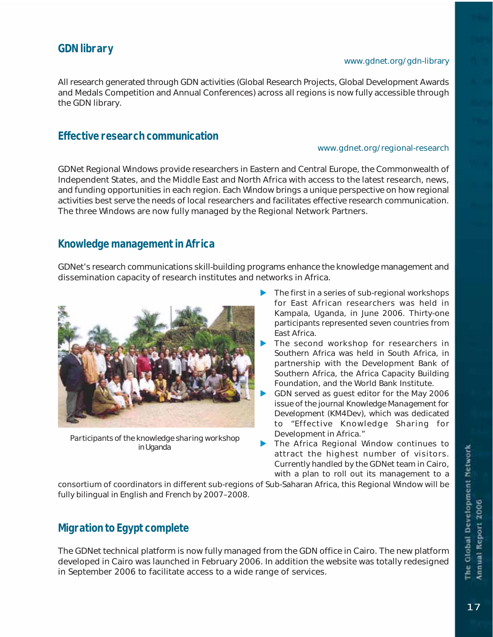# **GDN library**

#### www.gdnet.org/gdn-library

All research generated through GDN activities (Global Research Projects, Global Development Awards and Medals Competition and Annual Conferences) across all regions is now fully accessible through the GDN library.

#### **Effective research communication**

#### www.gdnet.org/regional-research

GDNet Regional Windows provide researchers in Eastern and Central Europe, the Commonwealth of Independent States, and the Middle East and North Africa with access to the latest research, news, and funding opportunities in each region. Each Window brings a unique perspective on how regional activities best serve the needs of local researchers and facilitates effective research communication. The three Windows are now fully managed by the Regional Network Partners.

# **Knowledge management in Africa**

GDNet's research communications skill-building programs enhance the knowledge management and dissemination capacity of research institutes and networks in Africa.



*Participants of the knowledge sharing workshop in Uganda*

- $\blacktriangleright$  The first in a series of sub-regional workshops for East African researchers was held in Kampala, Uganda, in June 2006. Thirty-one participants represented seven countries from East Africa.
- The second workshop for researchers in Southern Africa was held in South Africa, in partnership with the Development Bank of Southern Africa, the Africa Capacity Building Foundation, and the World Bank Institute.
- GDN served as guest editor for the May 2006 issue of the journal *Knowledge Management for Development (KM4Dev)*, which was dedicated to "Effective Knowledge Sharing for Development in Africa."
- The Africa Regional Window continues to attract the highest number of visitors. Currently handled by the GDNet team in Cairo, with a plan to roll out its management to a

consortium of coordinators in different sub-regions of Sub-Saharan Africa, this Regional Window will be fully bilingual in English and French by 2007–2008.

# **Migration to Egypt complete**

The GDNet technical platform is now fully managed from the GDN office in Cairo. The new platform developed in Cairo was launched in February 2006. In addition the website was totally redesigned in September 2006 to facilitate access to a wide range of services.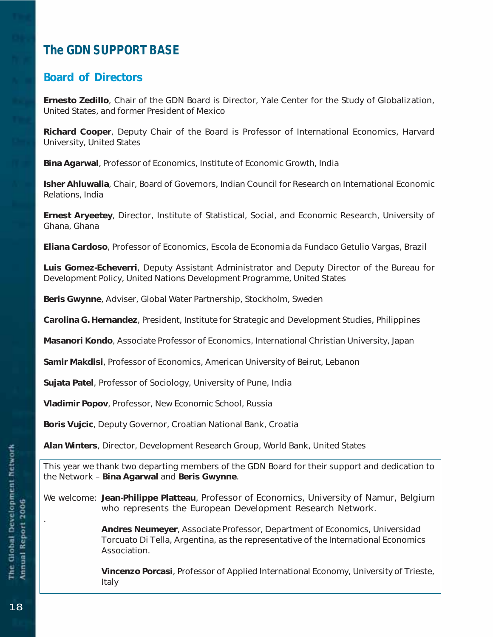# **The GDN SUPPORT BASE**

# Board of Directors

Ernesto Zedillo, Chair of the GDN Board is Director, Yale Center for the Study of Globalization, United States, and former President of Mexico

Richard Cooper, Deputy Chair of the Board is Professor of International Economics, Harvard University, United States

Bina Agarwal, Professor of Economics, Institute of Economic Growth, India

Isher Ahluwalia, Chair, Board of Governors, Indian Council for Research on International Economic Relations, India

Ernest Aryeetey, Director, Institute of Statistical, Social, and Economic Research, University of Ghana, Ghana

Eliana Cardoso, Professor of Economics, Escola de Economia da Fundaco Getulio Vargas, Brazil

Luis Gomez-Echeverri, Deputy Assistant Administrator and Deputy Director of the Bureau for Development Policy, United Nations Development Programme, United States

Beris Gwynne, Adviser, Global Water Partnership, Stockholm, Sweden

Carolina G. Hernandez, President, Institute for Strategic and Development Studies, Philippines

Masanori Kondo, Associate Professor of Economics, International Christian University, Japan

Samir Makdisi, Professor of Economics, American University of Beirut, Lebanon

Sujata Patel, Professor of Sociology, University of Pune, India

Vladimir Popov, Professor, New Economic School, Russia

Boris Vujcic, Deputy Governor, Croatian National Bank, Croatia

Alan Winters, Director, Development Research Group, World Bank, United States

This year we thank two departing members of the GDN Board for their support and dedication to the Network – Bina Agarwal and Beris Gwynne.

We welcome: Jean-Philippe Platteau, Professor of Economics, University of Namur, Belgium who represents the European Development Research Network.

> Andres Neumeyer, Associate Professor, Department of Economics, Universidad Torcuato Di Tella, Argentina, as the representative of the International Economics Association.

Vincenzo Porcasi, Professor of Applied International Economy, University of Trieste, Italy

.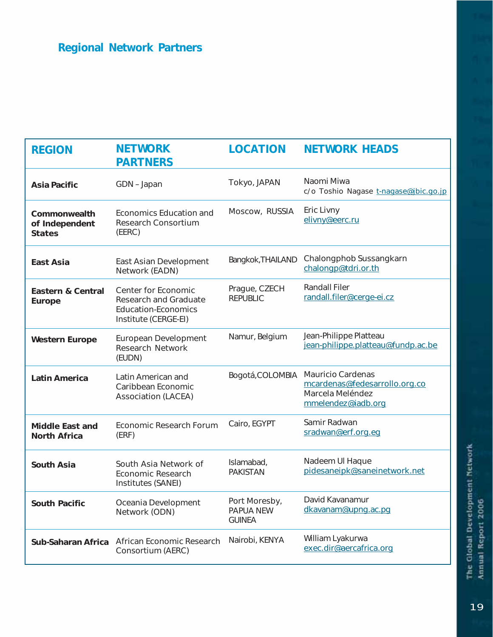| <b>REGION</b>                                   | <b>NETWORK</b><br><b>PARTNERS</b>                                                                         | <b>LOCATION</b>                                    | <b>NETWORK HEADS</b>                                                                         |
|-------------------------------------------------|-----------------------------------------------------------------------------------------------------------|----------------------------------------------------|----------------------------------------------------------------------------------------------|
| <b>Asia Pacific</b>                             | GDN-Japan                                                                                                 | Tokyo, JAPAN                                       | Naomi Miwa<br>c/o Toshio Nagase t-nagase@jbic.go.jp                                          |
| Commonwealth<br>of Independent<br><b>States</b> | Economics Education and<br>Research Consortium<br>(EERC)                                                  | Moscow, RUSSIA                                     | Eric Livny<br>elivny@eerc.ru                                                                 |
| East Asia                                       | East Asian Development<br>Network (EADN)                                                                  | Bangkok, THAILAND                                  | Chalongphob Sussangkarn<br>chalongp@tdri.or.th                                               |
| <b>Eastern &amp; Central</b><br>Europe          | Center for Economic<br><b>Research and Graduate</b><br><b>Education-Economics</b><br>Institute (CERGE-EI) | Prague, CZECH<br><b>REPUBLIC</b>                   | <b>Randall Filer</b><br>randall.filer@cerge-ei.cz                                            |
| <b>Western Europe</b>                           | European Development<br><b>Research Network</b><br>(EUDN)                                                 | Namur, Belgium                                     | Jean-Philippe Platteau<br>jean-philippe.platteau@fundp.ac.be                                 |
| <b>Latin America</b>                            | Latin American and<br>Caribbean Economic<br><b>Association (LACEA)</b>                                    | Bogotá, COLOMBIA                                   | Mauricio Cardenas<br>mcardenas@fedesarrollo.org.co<br>Marcela Meléndez<br>mmelendez@iadb.org |
| <b>Middle East and</b><br><b>North Africa</b>   | <b>Economic Research Forum</b><br>(ERF)                                                                   | Cairo, EGYPT                                       | Samir Radwan<br>sradwan@erf.org.eg                                                           |
| <b>South Asia</b>                               | South Asia Network of<br><b>Economic Research</b><br>Institutes (SANEI)                                   | Islamabad,<br><b>PAKISTAN</b>                      | Nadeem UI Haque<br>pidesaneipk@saneinetwork.net                                              |
| <b>South Pacific</b>                            | Oceania Development<br>Network (ODN)                                                                      | Port Moresby,<br><b>PAPUA NEW</b><br><b>GUINEA</b> | David Kavanamur<br>dkavanam@upng.ac.pg                                                       |
| Sub-Saharan Africa                              | African Economic Research<br>Consortium (AERC)                                                            | Nairobi, KENYA                                     | William Lyakurwa<br>exec.dir@aercafrica.org                                                  |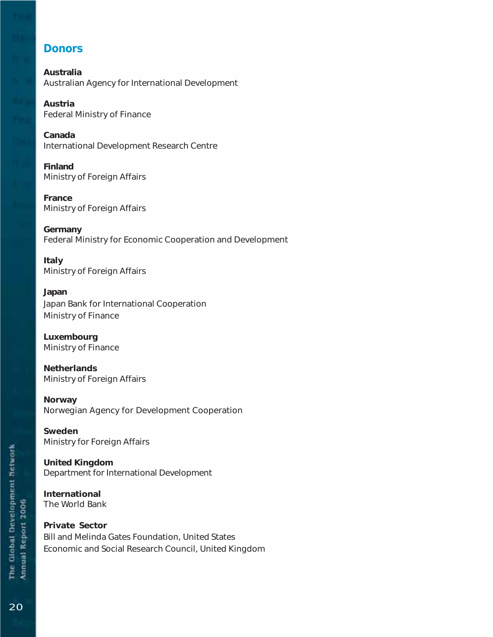# **Donors**

Australia Australian Agency for International Development

Austria Federal Ministry of Finance

Canada International Development Research Centre

Finland Ministry of Foreign Affairs

France Ministry of Foreign Affairs

Germany Federal Ministry for Economic Cooperation and Development

Italy Ministry of Foreign Affairs

Japan Japan Bank for International Cooperation Ministry of Finance

Luxembourg Ministry of Finance

**Netherlands** Ministry of Foreign Affairs

Norway Norwegian Agency for Development Cooperation

Sweden Ministry for Foreign Affairs

United Kingdom Department for International Development

International The World Bank

Private Sector Bill and Melinda Gates Foundation, United States Economic and Social Research Council, United Kingdom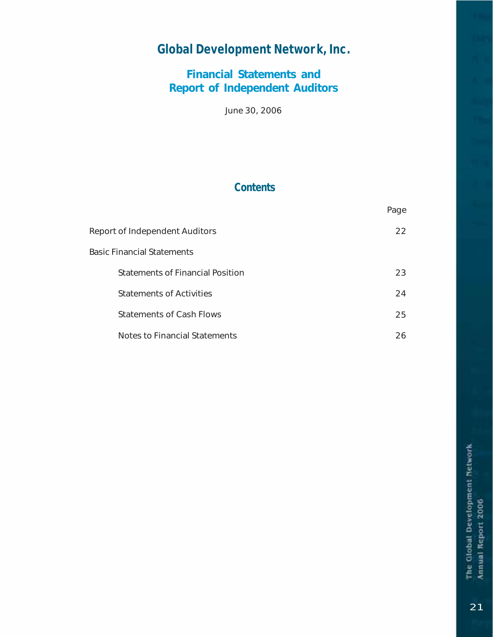# **Global Development Network, Inc.**

# Financial Statements and Report of Independent Auditors

June 30, 2006

# **Contents**

|                                  | Page |
|----------------------------------|------|
| Report of Independent Auditors   | 22.  |
| Basic Financial Statements       |      |
| Statements of Financial Position | 23   |
| <b>Statements of Activities</b>  | 24   |
| <b>Statements of Cash Flows</b>  | 25   |
| Notes to Financial Statements    | 26.  |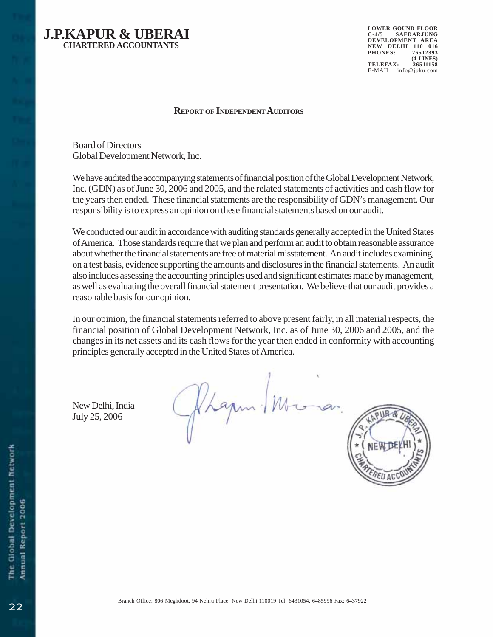

**LOWER GOUND FLOOR C-4/5 SAFDARJUNG DEVELOPMENT AREA NEW DELHI 110 016 PHONES: 26512393 (4 LINES) TELEFAX: 26511158** E-MAIL: info@jpku.com

#### **REPORT OF INDEPENDENT AUDITORS**

Board of Directors Global Development Network, Inc.

We have audited the accompanying statements of financial position of the Global Development Network, Inc. (GDN) as of June 30, 2006 and 2005, and the related statements of activities and cash flow for the years then ended. These financial statements are the responsibility of GDN's management. Our responsibility is to express an opinion on these financial statements based on our audit.

We conducted our audit in accordance with auditing standards generally accepted in the United States of America. Those standards require that we plan and perform an audit to obtain reasonable assurance about whether the financial statements are free of material misstatement. An audit includes examining, on a test basis, evidence supporting the amounts and disclosures in the financial statements. An audit also includes assessing the accounting principles used and significant estimates made by management, as well as evaluating the overall financial statement presentation. We believe that our audit provides a reasonable basis for our opinion.

In our opinion, the financial statements referred to above present fairly, in all material respects, the financial position of Global Development Network, Inc. as of June 30, 2006 and 2005, and the changes in its net assets and its cash flows for the year then ended in conformity with accounting principles generally accepted in the United States of America.

New Delhi, India July 25, 2006

Phapm - M

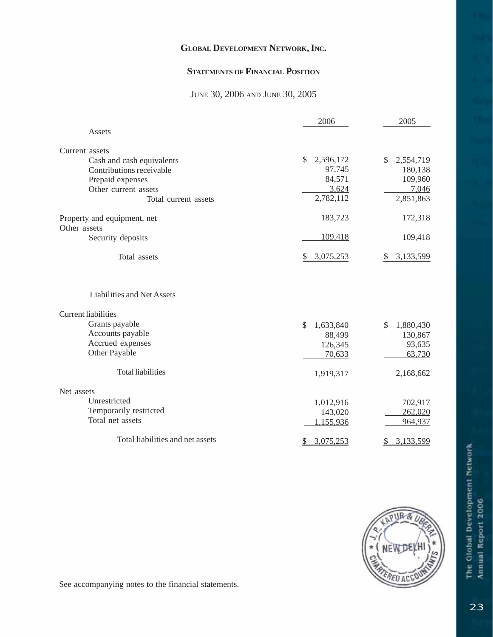#### **STATEMENTS OF FINANCIAL POSITION**

#### JUNE 30, 2006 AND JUNE 30, 2005

|                                   | 2006            | 2005            |
|-----------------------------------|-----------------|-----------------|
| Assets                            |                 |                 |
| Current assets                    |                 |                 |
| Cash and cash equivalents         | \$<br>2,596,172 | \$<br>2,554,719 |
| Contributions receivable          | 97,745          | 180,138         |
| Prepaid expenses                  | 84,571          | 109,960         |
| Other current assets              | 3,624           | 7,046           |
| Total current assets              | 2,782,112       | 2,851,863       |
| Property and equipment, net       | 183,723         | 172,318         |
| Other assets                      |                 |                 |
| Security deposits                 | 109,418         | 109,418         |
| Total assets                      | 3,075,253       | 3,133,599       |
| <b>Liabilities and Net Assets</b> |                 |                 |
| <b>Current liabilities</b>        |                 |                 |
| Grants payable                    | \$<br>1,633,840 | 1,880,430<br>S  |
| Accounts payable                  | 88,499          | 130,867         |
| Accrued expenses                  | 126,345         | 93,635          |
| Other Payable                     | 70,633          | 63,730          |
| <b>Total liabilities</b>          | 1,919,317       | 2,168,662       |
| Net assets                        |                 |                 |
| Unrestricted                      | 1,012,916       | 702,917         |
| Temporarily restricted            | 143,020         | 262,020         |
| Total net assets                  | 1,155,936       | 964,937         |
| Total liabilities and net assets  | 3,075,253       | 3,133,599       |



See accompanying notes to the financial statements.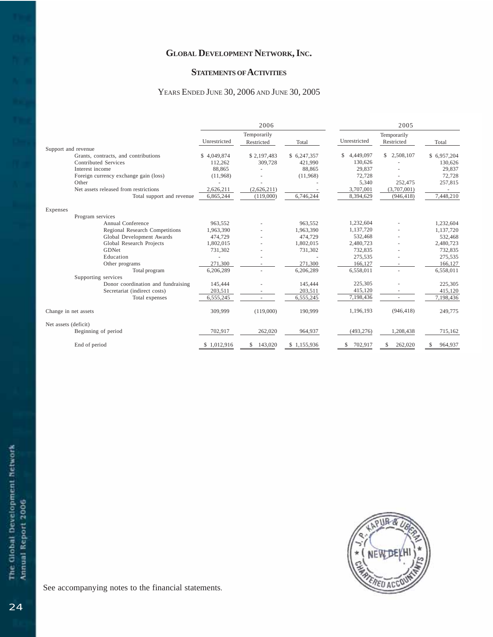#### **STATEMENTS OF ACTIVITIES**

#### YEARS ENDED JUNE 30, 2006 AND JUNE 30, 2005

|                      |                                       | 2006         |               | 2005         |                 |                 |              |
|----------------------|---------------------------------------|--------------|---------------|--------------|-----------------|-----------------|--------------|
|                      |                                       | Temporarily  |               |              | Temporarily     |                 |              |
|                      |                                       | Unrestricted | Restricted    | Total        | Unrestricted    | Restricted      | Total        |
| Support and revenue  |                                       |              |               |              |                 |                 |              |
|                      | Grants, contracts, and contributions  | \$4,049,874  | \$2,197,483   | \$ 6,247,357 | 4,449,097<br>\$ | \$<br>2,508,107 | \$6,957,204  |
|                      | <b>Contributed Services</b>           | 112,262      | 309,728       | 421,990      | 130,626         |                 | 130,626      |
|                      | Interest income                       | 88,865       |               | 88,865       | 29,837          |                 | 29,837       |
|                      | Foreign currency exchange gain (loss) | (11,968)     |               | (11,968)     | 72,728          |                 | 72,728       |
|                      | Other                                 |              |               |              | 5,340           | 252,475         | 257,815      |
|                      | Net assets released from restrictions | 2.626.211    | (2.626.211)   |              | 3,707,001       | (3,707,001)     |              |
|                      | Total support and revenue             | 6,865,244    | (119,000)     | 6,746,244    | 8,394,629       | (946, 418)      | 7,448,210    |
| Expenses             |                                       |              |               |              |                 |                 |              |
|                      | Program services                      |              |               |              |                 |                 |              |
|                      | Annual Conference                     | 963.552      |               | 963,552      | 1,232,604       |                 | 1,232,604    |
|                      | Regional Research Competitions        | 1,963,390    |               | 1,963,390    | 1,137,720       |                 | 1,137,720    |
|                      | Global Development Awards             | 474,729      |               | 474,729      | 532,468         |                 | 532,468      |
|                      | Global Research Projects              | 1,802,015    |               | 1,802,015    | 2,480,723       |                 | 2,480,723    |
|                      | GDNet                                 | 731,302      |               | 731,302      | 732,835         |                 | 732,835      |
|                      | Education                             |              |               |              | 275,535         |                 | 275,535      |
|                      | Other programs                        | 271.300      |               | 271,300      | 166,127         |                 | 166,127      |
|                      | Total program                         | 6,206,289    |               | 6,206,289    | 6,558,011       |                 | 6,558,011    |
|                      | Supporting services                   |              |               |              |                 |                 |              |
|                      | Donor coordination and fundraising    | 145,444      |               | 145,444      | 225,305         |                 | 225,305      |
|                      | Secretariat (indirect costs)          | 203,511      |               | 203,511      | 415,120         |                 | 415,120      |
|                      | Total expenses                        | 6,555,245    |               | 6,555,245    | 7,198,436       |                 | 7,198,436    |
| Change in net assets |                                       | 309,999      | (119,000)     | 190,999      | 1,196,193       | (946, 418)      | 249,775      |
| Net assets (deficit) |                                       |              |               |              |                 |                 |              |
|                      | Beginning of period                   | 702,917      | 262,020       | 964,937      | (493, 276)      | 1,208,438       | 715,162      |
|                      | End of period                         | 1,012,916    | 143,020<br>\$ | \$1.155.936  | 702.917         | 262,020<br>S    | 964,937<br>S |

![](_page_25_Picture_4.jpeg)

See accompanying notes to the financial statements.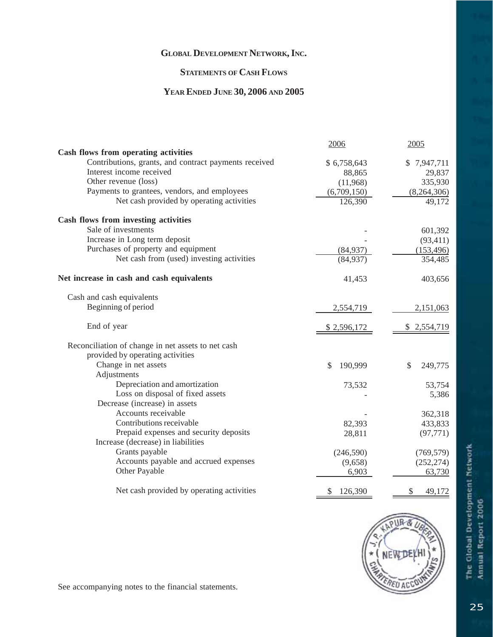### **STATEMENTS OF CASH FLOWS**

#### **YEAR ENDED JUNE 30, 2006 AND 2005**

|                                                       | 2006               | 2005               |
|-------------------------------------------------------|--------------------|--------------------|
| Cash flows from operating activities                  |                    |                    |
| Contributions, grants, and contract payments received | \$6,758,643        | \$7,947,711        |
| Interest income received                              | 88,865             | 29,837             |
| Other revenue (loss)                                  | (11,968)           | 335,930            |
| Payments to grantees, vendors, and employees          | (6,709,150)        | (8,264,306)        |
| Net cash provided by operating activities             | 126,390            | 49,172             |
| Cash flows from investing activities                  |                    |                    |
| Sale of investments                                   |                    | 601,392            |
| Increase in Long term deposit                         |                    | (93, 411)          |
| Purchases of property and equipment                   | (84, 937)          | (153, 496)         |
| Net cash from (used) investing activities             | (84,937)           | 354,485            |
| Net increase in cash and cash equivalents             | 41,453             | 403,656            |
| Cash and cash equivalents                             |                    |                    |
| Beginning of period                                   | 2,554,719          | 2,151,063          |
| End of year                                           | <u>\$2,596,172</u> | <u>\$2,554,719</u> |
| Reconciliation of change in net assets to net cash    |                    |                    |
| provided by operating activities                      |                    |                    |
| Change in net assets                                  | 190,999<br>\$      | 249,775<br>\$      |
| Adjustments                                           |                    |                    |
| Depreciation and amortization                         | 73,532             | 53,754             |
| Loss on disposal of fixed assets                      |                    | 5,386              |
| Decrease (increase) in assets                         |                    |                    |
| Accounts receivable                                   |                    | 362,318            |
| Contributions receivable                              | 82,393             | 433,833            |
| Prepaid expenses and security deposits                | 28,811             | (97, 771)          |
| Increase (decrease) in liabilities                    |                    |                    |
| Grants payable                                        | (246, 590)         | (769, 579)         |
| Accounts payable and accrued expenses                 | (9,658)            | (252, 274)         |
| Other Payable                                         | 6,903              | 63,730             |
| Net cash provided by operating activities             | 126,390<br>\$      | \$<br>49,172       |

![](_page_26_Picture_4.jpeg)

See accompanying notes to the financial statements.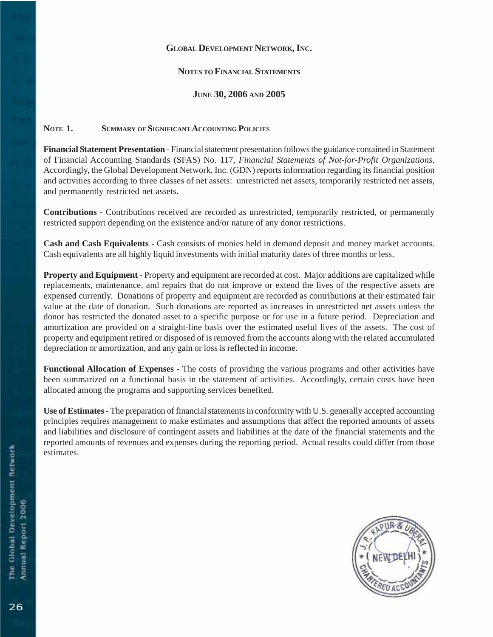#### **NOTES TO FINANCIAL STATEMENTS**

#### **JUNE 30, 2006 AND 2005**

#### **NOTE 1. SUMMARY OF SIGNIFICANT ACCOUNTING POLICIES**

**Financial Statement Presentation** - Financial statement presentation follows the guidance contained in Statement of Financial Accounting Standards (SFAS) No. 117, *Financial Statements of Not-for-Profit Organizations*. Accordingly, the Global Development Network, Inc. (GDN) reports information regarding its financial position and activities according to three classes of net assets: unrestricted net assets, temporarily restricted net assets, and permanently restricted net assets.

**Contributions** - Contributions received are recorded as unrestricted, temporarily restricted, or permanently restricted support depending on the existence and/or nature of any donor restrictions.

**Cash and Cash Equivalents** - Cash consists of monies held in demand deposit and money market accounts. Cash equivalents are all highly liquid investments with initial maturity dates of three months or less.

**Property and Equipment** - Property and equipment are recorded at cost. Major additions are capitalized while replacements, maintenance, and repairs that do not improve or extend the lives of the respective assets are expensed currently. Donations of property and equipment are recorded as contributions at their estimated fair value at the date of donation. Such donations are reported as increases in unrestricted net assets unless the donor has restricted the donated asset to a specific purpose or for use in a future period. Depreciation and amortization are provided on a straight-line basis over the estimated useful lives of the assets. The cost of property and equipment retired or disposed of is removed from the accounts along with the related accumulated depreciation or amortization, and any gain or loss is reflected in income.

**Functional Allocation of Expenses** - The costs of providing the various programs and other activities have been summarized on a functional basis in the statement of activities. Accordingly, certain costs have been allocated among the programs and supporting services benefited.

**Use of Estimates** - The preparation of financial statements in conformity with U.S. generally accepted accounting principles requires management to make estimates and assumptions that affect the reported amounts of assets and liabilities and disclosure of contingent assets and liabilities at the date of the financial statements and the reported amounts of revenues and expenses during the reporting period. Actual results could differ from those estimates.

![](_page_27_Picture_10.jpeg)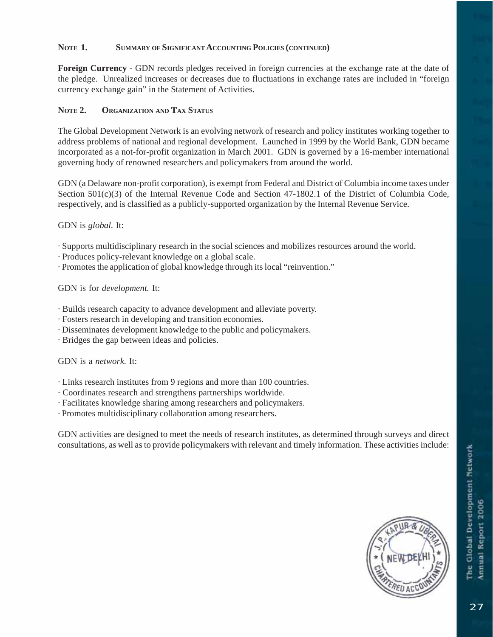#### **NOTE 1. SUMMARY OF SIGNIFICANT ACCOUNTING POLICIES (CONTINUED)**

**Foreign Currency** - GDN records pledges received in foreign currencies at the exchange rate at the date of the pledge. Unrealized increases or decreases due to fluctuations in exchange rates are included in "foreign currency exchange gain" in the Statement of Activities.

#### **NOTE 2. ORGANIZATION AND TAX STATUS**

The Global Development Network is an evolving network of research and policy institutes working together to address problems of national and regional development. Launched in 1999 by the World Bank, GDN became incorporated as a not-for-profit organization in March 2001. GDN is governed by a 16-member international governing body of renowned researchers and policymakers from around the world.

GDN (a Delaware non-profit corporation), is exempt from Federal and District of Columbia income taxes under Section 501(c)(3) of the Internal Revenue Code and Section 47-1802.1 of the District of Columbia Code, respectively, and is classified as a publicly-supported organization by the Internal Revenue Service.

#### GDN is *global*. It:

- · Supports multidisciplinary research in the social sciences and mobilizes resources around the world.
- · Produces policy-relevant knowledge on a global scale.
- · Promotes the application of global knowledge through its local "reinvention."

GDN is for *development.* It:

- · Builds research capacity to advance development and alleviate poverty.
- · Fosters research in developing and transition economies.
- · Disseminates development knowledge to the public and policymakers.
- · Bridges the gap between ideas and policies.

#### GDN is a *network.* It:

- · Links research institutes from 9 regions and more than 100 countries.
- · Coordinates research and strengthens partnerships worldwide.
- · Facilitates knowledge sharing among researchers and policymakers.
- · Promotes multidisciplinary collaboration among researchers.

GDN activities are designed to meet the needs of research institutes, as determined through surveys and direct consultations, as well as to provide policymakers with relevant and timely information. These activities include:

![](_page_28_Picture_20.jpeg)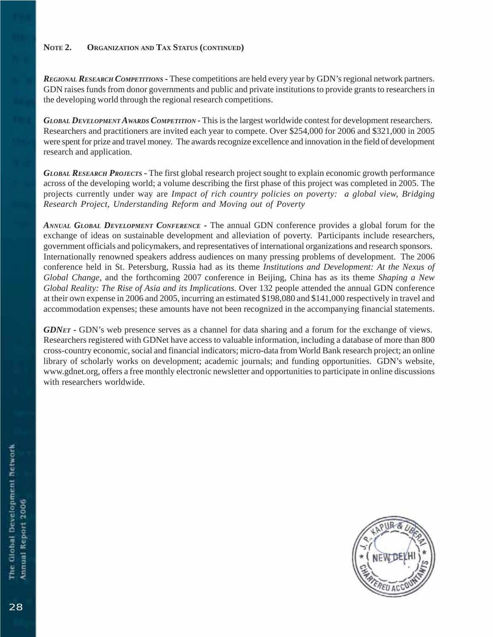#### **NOTE 2. ORGANIZATION AND TAX STATUS (CONTINUED)**

*REGIONAL RESEARCH COMPETITIONS* **-** These competitions are held every year by GDN's regional network partners. GDN raises funds from donor governments and public and private institutions to provide grants to researchers in the developing world through the regional research competitions.

*GLOBAL DEVELOPMENT AWARDS COMPETITION* **-** This is the largest worldwide contest for development researchers. Researchers and practitioners are invited each year to compete. Over \$254,000 for 2006 and \$321,000 in 2005 were spent for prize and travel money. The awards recognize excellence and innovation in the field of development research and application.

*GLOBAL RESEARCH PROJECTS* **-** The first global research project sought to explain economic growth performance across of the developing world; a volume describing the first phase of this project was completed in 2005. The projects currently under way are *Impact of rich country policies on poverty: a global view, Bridging Research Project, Understanding Reform and Moving out of Poverty*

*ANNUAL GLOBAL DEVELOPMENT CONFERENCE* **-** The annual GDN conference provides a global forum for the exchange of ideas on sustainable development and alleviation of poverty. Participants include researchers, government officials and policymakers, and representatives of international organizations and research sponsors. Internationally renowned speakers address audiences on many pressing problems of development. The 2006 conference held in St. Petersburg, Russia had as its theme *Institutions and Development: At the Nexus of Global Change,* and the forthcoming 2007 conference in Beijing, China has as its theme *Shaping a New Global Reality: The Rise of Asia and its Implications*. Over 132 people attended the annual GDN conference at their own expense in 2006 and 2005, incurring an estimated \$198,080 and \$141,000 respectively in travel and accommodation expenses; these amounts have not been recognized in the accompanying financial statements.

*GDNET* - GDN's web presence serves as a channel for data sharing and a forum for the exchange of views. Researchers registered with GDNet have access to valuable information, including a database of more than 800 cross-country economic, social and financial indicators; micro-data from World Bank research project; an online library of scholarly works on development; academic journals; and funding opportunities. GDN's website, www.gdnet.org, offers a free monthly electronic newsletter and opportunities to participate in online discussions with researchers worldwide.

![](_page_29_Picture_6.jpeg)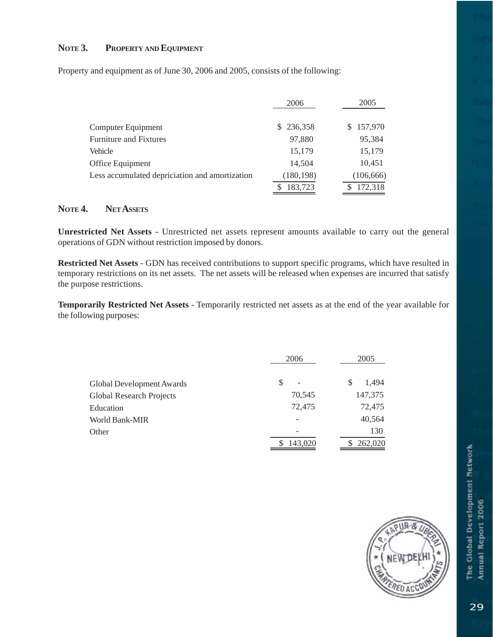#### **NOTE 3. PROPERTY AND EQUIPMENT**

Property and equipment as of June 30, 2006 and 2005, consists of the following:

|                                                | 2006       | 2005       |
|------------------------------------------------|------------|------------|
| Computer Equipment                             | \$236,358  | \$157,970  |
| <b>Furniture and Fixtures</b>                  | 97,880     | 95,384     |
| Vehicle                                        | 15,179     | 15,179     |
| Office Equipment                               | 14,504     | 10,451     |
| Less accumulated depriciation and amortization | (180, 198) | (106, 666) |
|                                                | 183,723    | 172,318    |

#### **NOTE 4. NET ASSETS**

**Unrestricted Net Assets** - Unrestricted net assets represent amounts available to carry out the general operations of GDN without restriction imposed by donors.

**Restricted Net Assets** - GDN has received contributions to support specific programs, which have resulted in temporary restrictions on its net assets. The net assets will be released when expenses are incurred that satisfy the purpose restrictions.

**Temporarily Restricted Net Assets** - Temporarily restricted net assets as at the end of the year available for the following purposes:

|                                 | 2006                          | 2005       |
|---------------------------------|-------------------------------|------------|
| Global Development Awards       | S<br>$\overline{\phantom{0}}$ | 1,494<br>S |
| <b>Global Research Projects</b> | 70,545                        | 147,375    |
| Education                       | 72,475                        | 72,475     |
| World Bank-MIR                  |                               | 40,564     |
| Other                           |                               | 130        |
|                                 | 143,020                       | 262,020    |

![](_page_30_Picture_8.jpeg)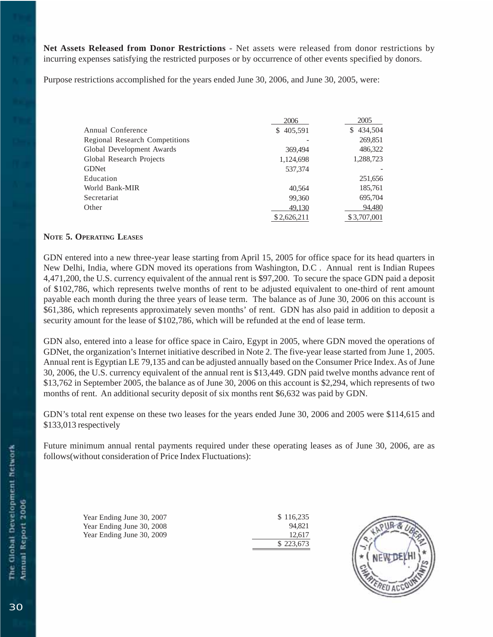**Net Assets Released from Donor Restrictions** - Net assets were released from donor restrictions by incurring expenses satisfying the restricted purposes or by occurrence of other events specified by donors.

Purpose restrictions accomplished for the years ended June 30, 2006, and June 30, 2005, were:

|                                | 2006        | 2005         |
|--------------------------------|-------------|--------------|
| Annual Conference              | \$405,591   | 434,504<br>S |
| Regional Research Competitions |             | 269,851      |
| Global Development Awards      | 369,494     | 486,322      |
| Global Research Projects       | 1,124,698   | 1,288,723    |
| <b>GDNet</b>                   | 537,374     |              |
| Education                      |             | 251,656      |
| World Bank-MIR                 | 40.564      | 185,761      |
| Secretariat                    | 99,360      | 695,704      |
| Other                          | 49,130      | 94,480       |
|                                | \$2,626,211 | \$3,707,001  |

#### **NOTE 5. OPERATING LEASES**

GDN entered into a new three-year lease starting from April 15, 2005 for office space for its head quarters in New Delhi, India, where GDN moved its operations from Washington, D.C . Annual rent is Indian Rupees 4,471,200, the U.S. currency equivalent of the annual rent is \$97,200. To secure the space GDN paid a deposit of \$102,786, which represents twelve months of rent to be adjusted equivalent to one-third of rent amount payable each month during the three years of lease term. The balance as of June 30, 2006 on this account is \$61,386, which represents approximately seven months' of rent. GDN has also paid in addition to deposit a security amount for the lease of \$102,786, which will be refunded at the end of lease term.

GDN also, entered into a lease for office space in Cairo, Egypt in 2005, where GDN moved the operations of GDNet, the organization's Internet initiative described in Note 2. The five-year lease started from June 1, 2005. Annual rent is Egyptian LE 79,135 and can be adjusted annually based on the Consumer Price Index. As of June 30, 2006, the U.S. currency equivalent of the annual rent is \$13,449. GDN paid twelve months advance rent of \$13,762 in September 2005, the balance as of June 30, 2006 on this account is \$2,294, which represents of two months of rent. An additional security deposit of six months rent \$6,632 was paid by GDN.

GDN's total rent expense on these two leases for the years ended June 30, 2006 and 2005 were \$114,615 and \$133,013 respectively

Future minimum annual rental payments required under these operating leases as of June 30, 2006, are as follows(without consideration of Price Index Fluctuations):

Year Ending June 30, 2007 Year Ending June 30, 2008 Year Ending June 30, 2009

\$ 116,235 94,821 12,617 \$ 223,673

![](_page_31_Picture_10.jpeg)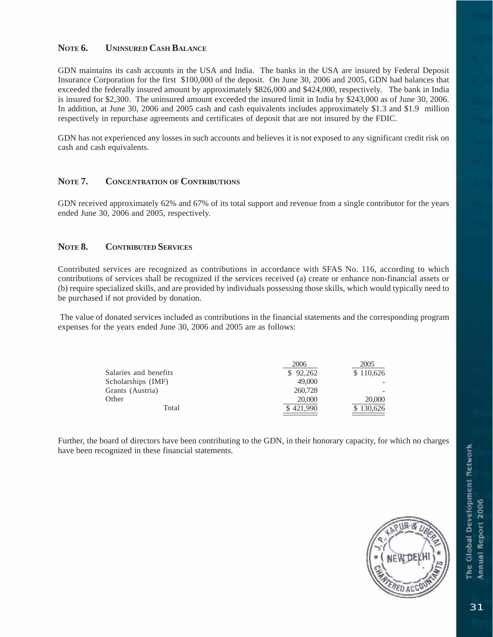#### **NOTE 6. UNINSURED CASH BALANCE**

GDN maintains its cash accounts in the USA and India. The banks in the USA are insured by Federal Deposit Insurance Corporation for the first \$100,000 of the deposit. On June 30, 2006 and 2005, GDN had balances that exceeded the federally insured amount by approximately \$826,000 and \$424,000, respectively. The bank in India is insured for \$2,300. The uninsured amount exceeded the insured limit in India by \$243,000 as of June 30, 2006. In addition, at June 30, 2006 and 2005 cash and cash equivalents includes approximately \$1.3 and \$1.9 million respectively in repurchase agreements and certificates of deposit that are not insured by the FDIC.

GDN has not experienced any losses in such accounts and believes it is not exposed to any significant credit risk on cash and cash equivalents.

#### **NOTE 7. CONCENTRATION OF CONTRIBUTIONS**

GDN received approximately 62% and 67% of its total support and revenue from a single contributor for the years ended June 30, 2006 and 2005, respectively.

#### **NOTE 8. CONTRIBUTED SERVICES**

Contributed services are recognized as contributions in accordance with SFAS No. 116, according to which contributions of services shall be recognized if the services received (a) create or enhance non-financial assets or (b) require specialized skills, and are provided by individuals possessing those skills, which would typically need to be purchased if not provided by donation.

 The value of donated services included as contributions in the financial statements and the corresponding program expenses for the years ended June 30, 2006 and 2005 are as follows:

|                       | 2006      | 2005      |
|-----------------------|-----------|-----------|
| Salaries and benefits | \$92.262  | \$110,626 |
| Scholarships (IMF)    | 49,000    |           |
| Grants (Austria)      | 260,728   |           |
| Other                 | 20,000    | 20,000    |
| Total                 | \$421,990 | \$130,626 |

Further, the board of directors have been contributing to the GDN, in their honorary capacity, for which no charges have been recognized in these financial statements.

![](_page_32_Picture_10.jpeg)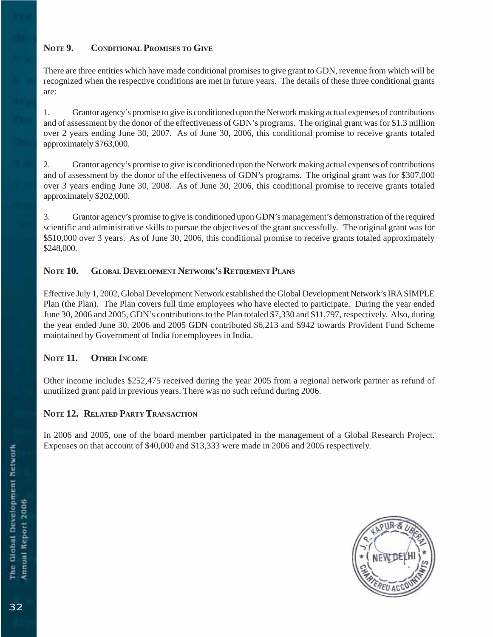#### **NOTE 9. CONDITIONAL PROMISES TO GIVE**

There are three entities which have made conditional promises to give grant to GDN, revenue from which will be recognized when the respective conditions are met in future years. The details of these three conditional grants are:

1. Grantor agency's promise to give is conditioned upon the Network making actual expenses of contributions and of assessment by the donor of the effectiveness of GDN's programs. The original grant was for \$1.3 million over 2 years ending June 30, 2007. As of June 30, 2006, this conditional promise to receive grants totaled approximately \$763,000.

2. Grantor agency's promise to give is conditioned upon the Network making actual expenses of contributions and of assessment by the donor of the effectiveness of GDN's programs. The original grant was for \$307,000 over 3 years ending June 30, 2008. As of June 30, 2006, this conditional promise to receive grants totaled approximately \$202,000.

3. Grantor agency's promise to give is conditioned upon GDN's management's demonstration of the required scientific and administrative skills to pursue the objectives of the grant successfully. The original grant was for \$510,000 over 3 years. As of June 30, 2006, this conditional promise to receive grants totaled approximately \$248,000.

#### **NOTE 10. GLOBAL DEVELOPMENT NETWORK'S RETIREMENT PLANS**

Effective July 1, 2002, Global Development Network established the Global Development Network's IRA SIMPLE Plan (the Plan). The Plan covers full time employees who have elected to participate. During the year ended June 30, 2006 and 2005, GDN's contributions to the Plan totaled \$7,330 and \$11,797, respectively. Also, during the year ended June 30, 2006 and 2005 GDN contributed \$6,213 and \$942 towards Provident Fund Scheme maintained by Government of India for employees in India.

#### NOTE 11. OTHER INCOME

Other income includes \$252,475 received during the year 2005 from a regional network partner as refund of unutilized grant paid in previous years. There was no such refund during 2006.

#### **NOTE 12. RELATED PARTY TRANSACTION**

In 2006 and 2005, one of the board member participated in the management of a Global Research Project. Expenses on that account of \$40,000 and \$13,333 were made in 2006 and 2005 respectively.

![](_page_33_Picture_11.jpeg)